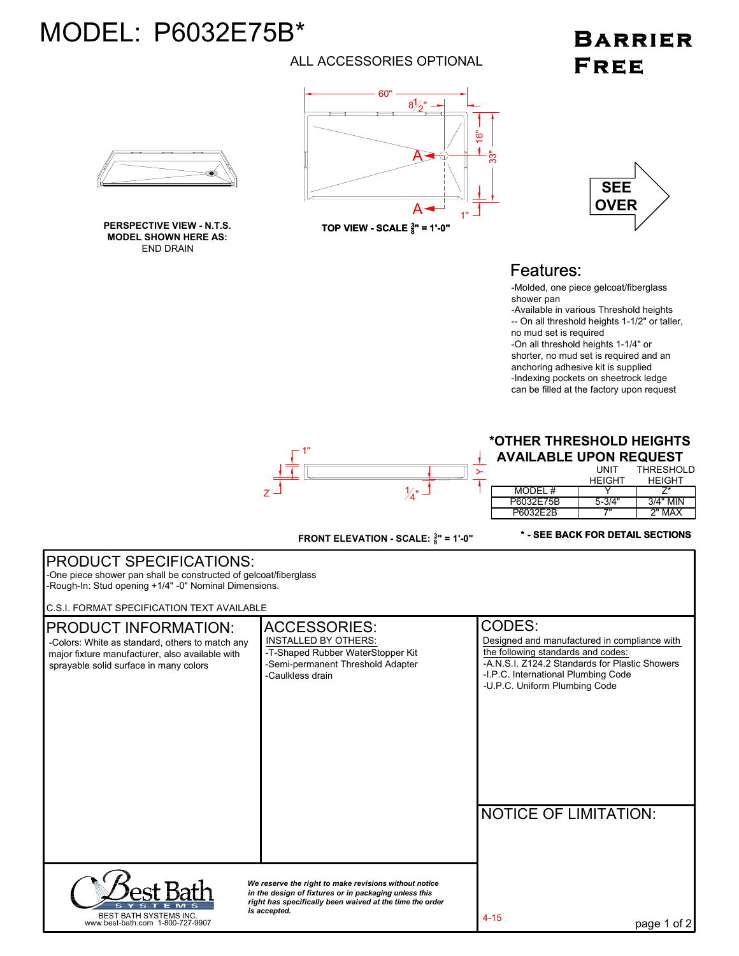# MODEL: P6032E75B\*

#### ALL ACCESSORIES OPTIONAL

## **BARRIER** FREE



**MODEL SHOWN HERE AS:** END DRAIN





#### Features:

-Molded, one piece gelcoat/fiberglass shower pan

-Available in various Threshold heights -- On all threshold heights 1-1/2" or taller, no mud set is required

-On all threshold heights 1-1/4" or shorter, no mud set is required and an anchoring adhesive kit is supplied -Indexing pockets on sheetrock ledge can be filled at the factory upon request



### **\*OTHER THRESHOLD HEIGHTS**

**AVAILABLE UPON REQUEST** UNIT **THRESHOLD** 

|           | <b>HEIGHT</b> | <b>HEIGHT</b> |
|-----------|---------------|---------------|
| MODEL #   |               | 7*            |
| P6032E75B | $5 - 3/4"$    | $3/4"$ MIN    |
| P6032F2B  | 7"            | $2"$ MAX      |

**FRONT ELEVATION - SCALE: <sup>3</sup> <sup>8</sup>" = 1'-0"**

#### **\* - SEE BACK FOR DETAIL SECTIONS**

*We reserve the right to make revisions without notice in the design of fixtures or in packaging unless this right has specifically been waived at the time the order is accepted.* page 1 of 2 NOTICE OF LIMITATION: ACCESSORIES: CODES:<br>
INSTALLED BY OTHERS: Designed and PRODUCT SPECIFICATIONS: PRODUCT INFORMATION: BEST BATH SYSTEMS INC. www.best-bath.com 1-800-727-9907 C.S.I. FORMAT SPECIFICATION TEXT AVAILABLE -Colors: White as standard, others to match any major fixture manufacturer, also available with sprayable solid surface in many colors Designed and manufactured in compliance with the following standards and codes: -I.P.C. International Plumbing Code -U.P.C. Uniform Plumbing Code -A.N.S.I. Z124.2 Standards for Plastic Showers -One piece shower pan shall be constructed of gelcoat/fiberglass -Rough-In: Stud opening +1/4" -0" Nominal Dimensions. -T-Shaped Rubber WaterStopper Kit -Semi-permanent Threshold Adapter -Caulkless drain 4-15